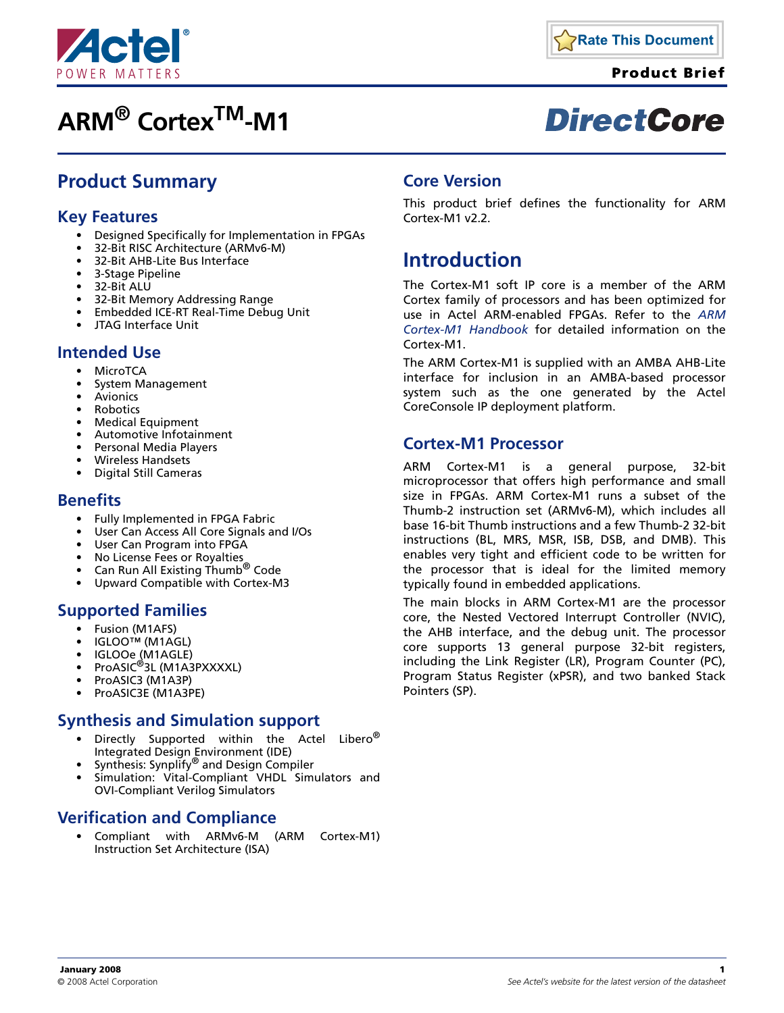

# **ARM® CortexTM-M1**



**Product Brief**

# **DirectCore**

## **Product Summary**

### **Key Features**

- Designed Specifically for Implementation in FPGAs
- 32-Bit RISC Architecture (ARMv6-M)
- 32-Bit AHB-Lite Bus Interface
- 3-Stage Pipeline
- 32-Bit ALU
- 32-Bit Memory Addressing Range
- Embedded ICE-RT Real-Time Debug Unit
- JTAG Interface Unit

#### **Intended Use**

- MicroTCA
- System Management
- **Avionics**
- **Robotics**
- Medical Equipment
- Automotive Infotainment
- Personal Media Players
- Wireless Handsets
- Digital Still Cameras

#### **Benefits**

- Fully Implemented in FPGA Fabric
- User Can Access All Core Signals and I/Os
- User Can Program into FPGA
- No License Fees or Royalties
- Can Run All Existing Thumb<sup>®</sup> Code
- Upward Compatible with Cortex-M3

#### **Supported Families**

- Fusion (M1AFS)
- IGLOO™ (M1AGL)
- 
- IGLOOe (M1AGLE) ProASIC®3L (M1A3PXXXXL)
- ProASIC3 (M1A3P)
- ProASIC3E (M1A3PE)

#### **Synthesis and Simulation support**

- Directly Supported within the Actel Libero $^\circledR$ Integrated Design Environment (IDE)
- Synthesis: Synplify<sup>®</sup> and Design Compiler
- Simulation: Vital-Compliant VHDL Simulators and OVI-Compliant Verilog Simulators

### **Verification and Compliance**

• Compliant with ARMv6-M (ARM Cortex-M1) Instruction Set Architecture (ISA)

#### **Core Version**

This product brief defines the functionality for ARM Cortex-M1 v2.2.

## **Introduction**

The Cortex-M1 soft IP core is a member of the ARM Cortex family of processors and has been optimized for use in Actel ARM-enabled FPGAs. Refer to the *[ARM](http://www.actel.com/documents/CortexM1_HB.pdf) [Cortex-M1 Handbook](http://www.actel.com/documents/CortexM1_HB.pdf)* for detailed information on the Cortex-M1.

The ARM Cortex-M1 is supplied with an AMBA AHB-Lite interface for inclusion in an AMBA-based processor system such as the one generated by the Actel CoreConsole IP deployment platform.

#### **Cortex-M1 Processor**

ARM Cortex-M1 is a general purpose, 32-bit microprocessor that offers high performance and small size in FPGAs. ARM Cortex-M1 runs a subset of the Thumb-2 instruction set (ARMv6-M), which includes all base 16-bit Thumb instructions and a few Thumb-2 32-bit instructions (BL, MRS, MSR, ISB, DSB, and DMB). This enables very tight and efficient code to be written for the processor that is ideal for the limited memory typically found in embedded applications.

The main blocks in ARM Cortex-M1 are the processor core, the Nested Vectored Interrupt Controller (NVIC), the AHB interface, and the debug unit. The processor core supports 13 general purpose 32-bit registers, including the Link Register (LR), Program Counter (PC), Program Status Register (xPSR), and two banked Stack Pointers (SP).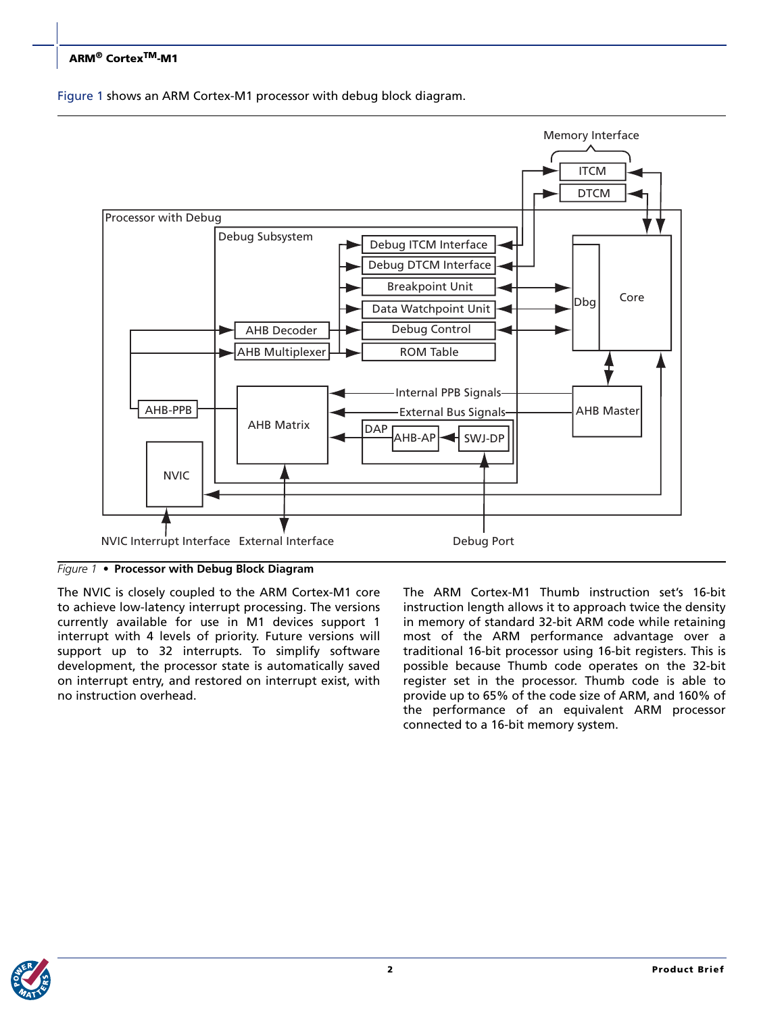#### **ARM® CortexTM-M1**

[Figure 1](#page-1-0) shows an ARM Cortex-M1 processor with debug block diagram.



<span id="page-1-0"></span>*Figure 1 •* **Processor with Debug Block Diagram**

The NVIC is closely coupled to the ARM Cortex-M1 core to achieve low-latency interrupt processing. The versions currently available for use in M1 devices support 1 interrupt with 4 levels of priority. Future versions will support up to 32 interrupts. To simplify software development, the processor state is automatically saved on interrupt entry, and restored on interrupt exist, with no instruction overhead.

The ARM Cortex-M1 Thumb instruction set's 16-bit instruction length allows it to approach twice the density in memory of standard 32-bit ARM code while retaining most of the ARM performance advantage over a traditional 16-bit processor using 16-bit registers. This is possible because Thumb code operates on the 32-bit register set in the processor. Thumb code is able to provide up to 65% of the code size of ARM, and 160% of the performance of an equivalent ARM processor connected to a 16-bit memory system.

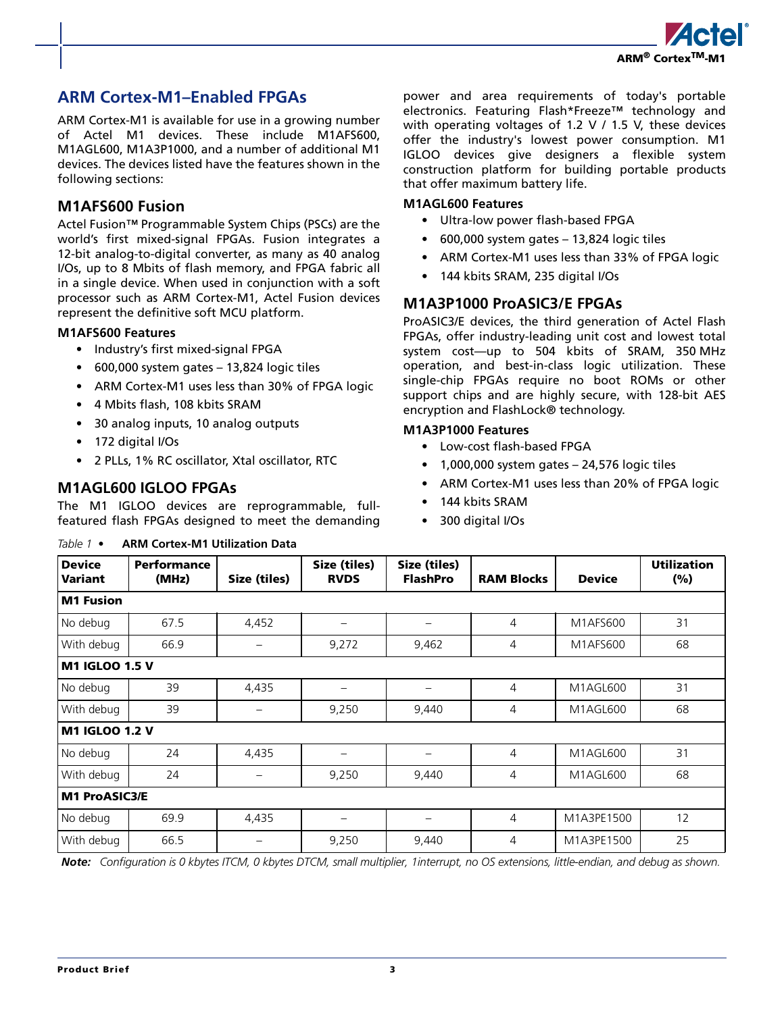

## **ARM Cortex-M1–Enabled FPGAs**

ARM Cortex-M1 is available for use in a growing number of Actel M1 devices. These include M1AFS600, M1AGL600, M1A3P1000, and a number of additional M1 devices. The devices listed have the features shown in the following sections:

#### **M1AFS600 Fusion**

Actel Fusion™ Programmable System Chips (PSCs) are the world's first mixed-signal FPGAs. Fusion integrates a 12-bit analog-to-digital converter, as many as 40 analog I/Os, up to 8 Mbits of flash memory, and FPGA fabric all in a single device. When used in conjunction with a soft processor such as ARM Cortex-M1, Actel Fusion devices represent the definitive soft MCU platform.

#### **M1AFS600 Features**

- Industry's first mixed-signal FPGA
- 600,000 system gates 13,824 logic tiles
- ARM Cortex-M1 uses less than 30% of FPGA logic
- 4 Mbits flash, 108 kbits SRAM
- 30 analog inputs, 10 analog outputs
- 172 digital I/Os
- 2 PLLs, 1% RC oscillator, Xtal oscillator, RTC

#### **M1AGL600 IGLOO FPGAs**

The M1 IGLOO devices are reprogrammable, fullfeatured flash FPGAs designed to meet the demanding

#### *Table 1 •* **ARM Cortex-M1 Utilization Data**

power and area requirements of today's portable electronics. Featuring Flash\*Freeze™ technology and with operating voltages of 1.2 V / 1.5 V, these devices offer the industry's lowest power consumption. M1 IGLOO devices give designers a flexible system construction platform for building portable products that offer maximum battery life.

#### **M1AGL600 Features**

- Ultra-low power flash-based FPGA
- 600,000 system gates 13,824 logic tiles
- ARM Cortex-M1 uses less than 33% of FPGA logic
- 144 kbits SRAM, 235 digital I/Os

#### **M1A3P1000 ProASIC3/E FPGAs**

ProASIC3/E devices, the third generation of Actel Flash FPGAs, offer industry-leading unit cost and lowest total system cost—up to 504 kbits of SRAM, 350 MHz operation, and best-in-class logic utilization. These single-chip FPGAs require no boot ROMs or other support chips and are highly secure, with 128-bit AES encryption and FlashLock® technology.

#### **M1A3P1000 Features**

- Low-cost flash-based FPGA
- 1,000,000 system gates 24,576 logic tiles
- ARM Cortex-M1 uses less than 20% of FPGA logic
- 144 kbits SRAM
- 300 digital I/Os

| <b>Device</b><br>Variant | Performance<br>(MHz) | Size (tiles)      | Size (tiles)<br><b>RVDS</b> | Size (tiles)<br><b>FlashPro</b> | <b>RAM Blocks</b> | <b>Device</b> | <b>Utilization</b><br>(%) |
|--------------------------|----------------------|-------------------|-----------------------------|---------------------------------|-------------------|---------------|---------------------------|
| <b>M1 Fusion</b>         |                      |                   |                             |                                 |                   |               |                           |
| No debug                 | 67.5                 | 4,452             | —                           |                                 | 4                 | M1AFS600      | 31                        |
| With debug               | 66.9                 | -                 | 9,272                       | 9,462                           | 4                 | M1AFS600      | 68                        |
| <b>M1 IGLOO 1.5 V</b>    |                      |                   |                             |                                 |                   |               |                           |
| No debug                 | 39                   | 4,435             | $\overline{\phantom{0}}$    |                                 | 4                 | M1AGL600      | 31                        |
| With debug               | 39                   | -                 | 9,250                       | 9,440                           | 4                 | M1AGL600      | 68                        |
| M1 IGLOO 1.2 V           |                      |                   |                             |                                 |                   |               |                           |
| No debug                 | 24                   | 4,435             | —                           |                                 | 4                 | M1AGL600      | 31                        |
| With debug               | 24                   | $\qquad \qquad -$ | 9,250                       | 9,440                           | 4                 | M1AGL600      | 68                        |
| <b>M1 ProASIC3/E</b>     |                      |                   |                             |                                 |                   |               |                           |
| No debug                 | 69.9                 | 4,435             | $\qquad \qquad -$           | —                               | 4                 | M1A3PE1500    | 12                        |
| With debug               | 66.5                 |                   | 9,250                       | 9,440                           | 4                 | M1A3PE1500    | 25                        |

*Note: Configuration is 0 kbytes ITCM, 0 kbytes DTCM, small multiplier, 1interrupt, no OS extensions, little-endian, and debug as shown.*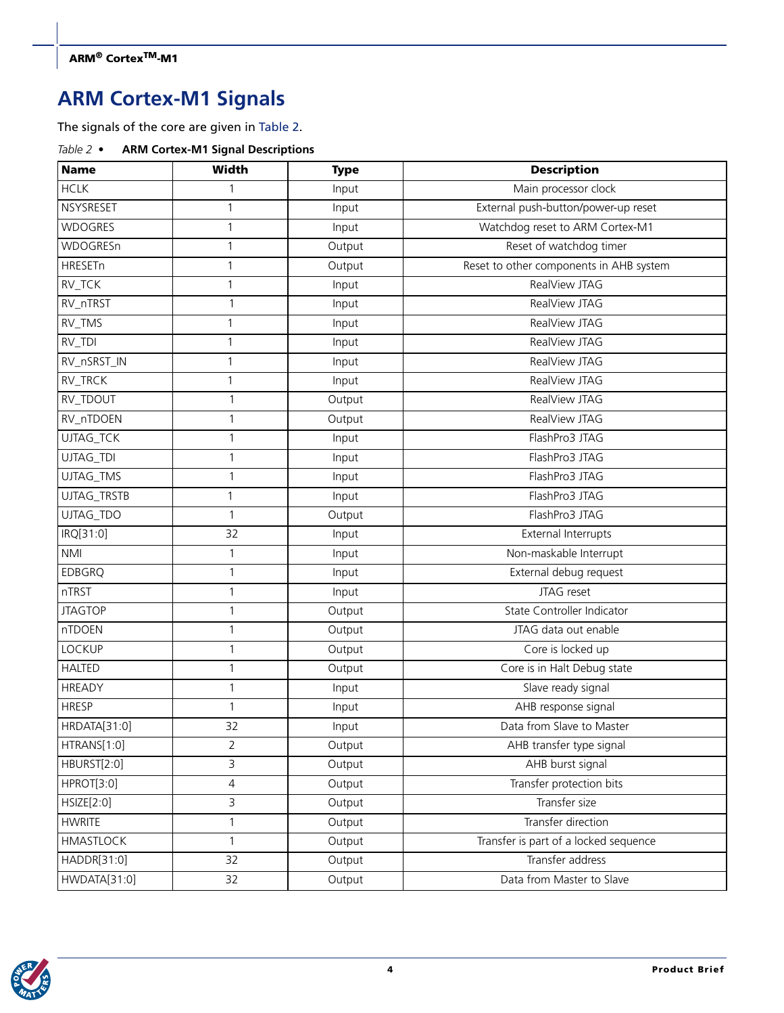## **ARM Cortex-M1 Signals**

The signals of the core are given in [Table 2.](#page-3-0)

<span id="page-3-0"></span>

| Table $2 \bullet$ | <b>ARM Cortex-M1 Signal Descriptions</b> |  |
|-------------------|------------------------------------------|--|
|                   |                                          |  |

| <b>Name</b>      | Width          | <b>Type</b> | <b>Description</b>                      |  |
|------------------|----------------|-------------|-----------------------------------------|--|
| <b>HCLK</b>      | 1              | Input       | Main processor clock                    |  |
| NSYSRESET        | $\mathbf{1}$   | Input       | External push-button/power-up reset     |  |
| <b>WDOGRES</b>   | $\mathbf{1}$   | Input       | Watchdog reset to ARM Cortex-M1         |  |
| <b>WDOGRESn</b>  | $\mathbf{1}$   | Output      | Reset of watchdog timer                 |  |
| HRESETn          | $\mathbf{1}$   | Output      | Reset to other components in AHB system |  |
| RV_TCK           | $\mathbf{1}$   | Input       | RealView JTAG                           |  |
| RV_nTRST         | 1              | Input       | RealView JTAG                           |  |
| RV_TMS           | $\mathbf{1}$   | Input       | RealView JTAG                           |  |
| RV_TDI           | $\mathbf{1}$   | Input       | RealView JTAG                           |  |
| RV_nSRST_IN      | $\mathbf{1}$   | Input       | RealView JTAG                           |  |
| RV_TRCK          | $\mathbf{1}$   | Input       | RealView JTAG                           |  |
| RV_TDOUT         | 1              | Output      | RealView JTAG                           |  |
| RV_nTDOEN        | $\mathbf{1}$   | Output      | RealView JTAG                           |  |
| UJTAG_TCK        | $\mathbf{1}$   | Input       | FlashPro3 JTAG                          |  |
| UJTAG_TDI        | 1              | Input       | FlashPro3 JTAG                          |  |
| UJTAG_TMS        | 1              | Input       | FlashPro3 JTAG                          |  |
| UJTAG_TRSTB      | $\mathbf{1}$   | Input       | FlashPro3 JTAG                          |  |
| UJTAG_TDO        | $\mathbf{1}$   | Output      | FlashPro3 JTAG                          |  |
| IRQ[31:0]        | 32             | Input       | External Interrupts                     |  |
| <b>NMI</b>       | $\mathbf{1}$   | Input       | Non-maskable Interrupt                  |  |
| <b>EDBGRQ</b>    | 1              | Input       | External debug request                  |  |
| nTRST            | $\mathbf{1}$   | Input       | JTAG reset                              |  |
| <b>JTAGTOP</b>   | $\mathbf{1}$   | Output      | State Controller Indicator              |  |
| nTDOEN           | $\mathbf{1}$   | Output      | JTAG data out enable                    |  |
| <b>LOCKUP</b>    | $\mathbf{1}$   | Output      | Core is locked up                       |  |
| <b>HALTED</b>    | $\mathbf{1}$   | Output      | Core is in Halt Debug state             |  |
| <b>HREADY</b>    | $\mathbf{1}$   | Input       | Slave ready signal                      |  |
| <b>HRESP</b>     | $\mathbf{1}$   | Input       | AHB response signal                     |  |
| HRDATA[31:0]     | 32             | Input       | Data from Slave to Master               |  |
| HTRANS[1:0]      | $\overline{2}$ | Output      | AHB transfer type signal                |  |
| HBURST[2:0]      | 3              | Output      | AHB burst signal                        |  |
| HPROT[3:0]       | $\overline{4}$ | Output      | Transfer protection bits                |  |
| HSIZE[2:0]       | 3              | Output      | Transfer size                           |  |
| <b>HWRITE</b>    | $\mathbf{1}$   | Output      | Transfer direction                      |  |
| <b>HMASTLOCK</b> | $\mathbf{1}$   | Output      | Transfer is part of a locked sequence   |  |
| HADDR[31:0]      | 32             | Output      | Transfer address                        |  |
| HWDATA[31:0]     | 32             | Output      | Data from Master to Slave               |  |

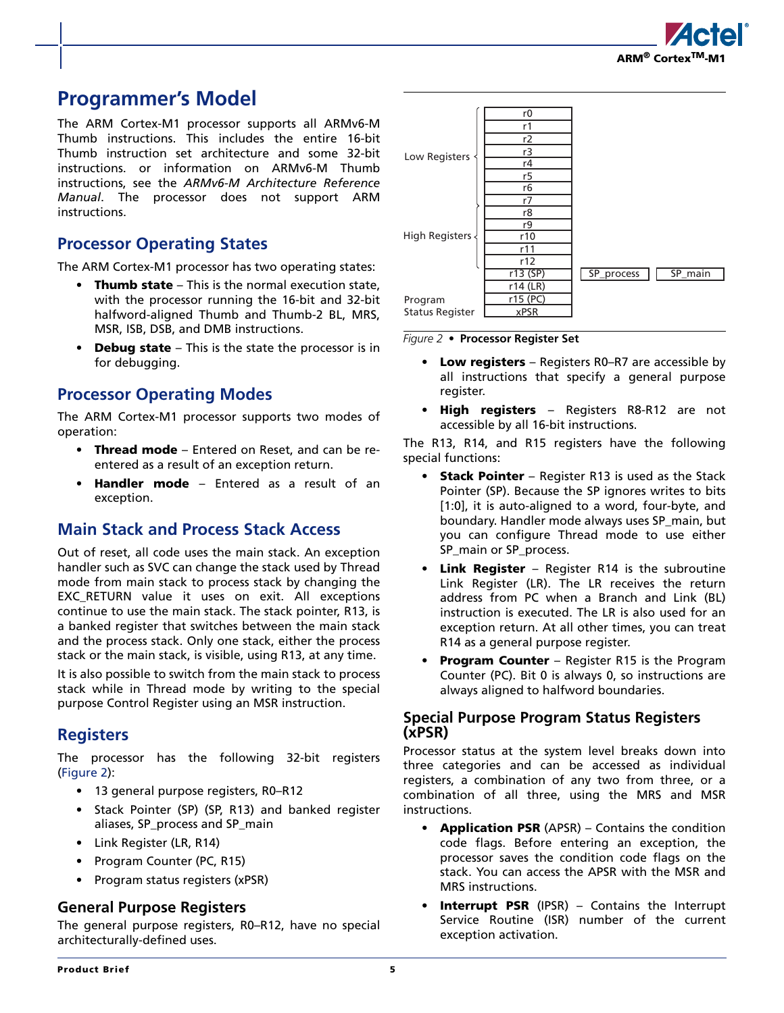

## **Programmer's Model**

The ARM Cortex-M1 processor supports all ARMv6-M Thumb instructions. This includes the entire 16-bit Thumb instruction set architecture and some 32-bit instructions. or information on ARMv6-M Thumb instructions, see the *ARMv6-M Architecture Reference Manual*. The processor does not support ARM instructions.

### **Processor Operating States**

The ARM Cortex-M1 processor has two operating states:

- **Thumb state**  This is the normal execution state, with the processor running the 16-bit and 32-bit halfword-aligned Thumb and Thumb-2 BL, MRS, MSR, ISB, DSB, and DMB instructions.
- **Debug state**  This is the state the processor is in for debugging.

### **Processor Operating Modes**

The ARM Cortex-M1 processor supports two modes of operation:

- **Thread mode**  Entered on Reset, and can be reentered as a result of an exception return.
- **Handler mode**  Entered as a result of an exception.

#### **Main Stack and Process Stack Access**

Out of reset, all code uses the main stack. An exception handler such as SVC can change the stack used by Thread mode from main stack to process stack by changing the EXC\_RETURN value it uses on exit. All exceptions continue to use the main stack. The stack pointer, R13, is a banked register that switches between the main stack and the process stack. Only one stack, either the process stack or the main stack, is visible, using R13, at any time.

It is also possible to switch from the main stack to process stack while in Thread mode by writing to the special purpose Control Register using an MSR instruction.

#### **Registers**

The processor has the following 32-bit registers [\(Figure 2\)](#page-4-0):

- 13 general purpose registers, R0–R12
- Stack Pointer (SP) (SP, R13) and banked register aliases, SP\_process and SP\_main
- Link Register (LR, R14)
- Program Counter (PC, R15)
- Program status registers (xPSR)

#### **General Purpose Registers**

The general purpose registers, R0–R12, have no special architecturally-defined uses.



<span id="page-4-0"></span>*Figure 2 •* **Processor Register Set**

- **Low registers**  Registers R0–R7 are accessible by all instructions that specify a general purpose register.
- **High registers**  Registers R8-R12 are not accessible by all 16-bit instructions.

The R13, R14, and R15 registers have the following special functions:

- **Stack Pointer**  Register R13 is used as the Stack Pointer (SP). Because the SP ignores writes to bits [1:0], it is auto-aligned to a word, four-byte, and boundary. Handler mode always uses SP\_main, but you can configure Thread mode to use either SP\_main or SP\_process.
- **Link Register**  Register R14 is the subroutine Link Register (LR). The LR receives the return address from PC when a Branch and Link (BL) instruction is executed. The LR is also used for an exception return. At all other times, you can treat R14 as a general purpose register.
- **Program Counter** Register R15 is the Program Counter (PC). Bit 0 is always 0, so instructions are always aligned to halfword boundaries.

#### **Special Purpose Program Status Registers (xPSR)**

Processor status at the system level breaks down into three categories and can be accessed as individual registers, a combination of any two from three, or a combination of all three, using the MRS and MSR instructions.

- **Application PSR** (APSR) Contains the condition code flags. Before entering an exception, the processor saves the condition code flags on the stack. You can access the APSR with the MSR and MRS instructions.
- **Interrupt PSR** (IPSR) Contains the Interrupt Service Routine (ISR) number of the current exception activation.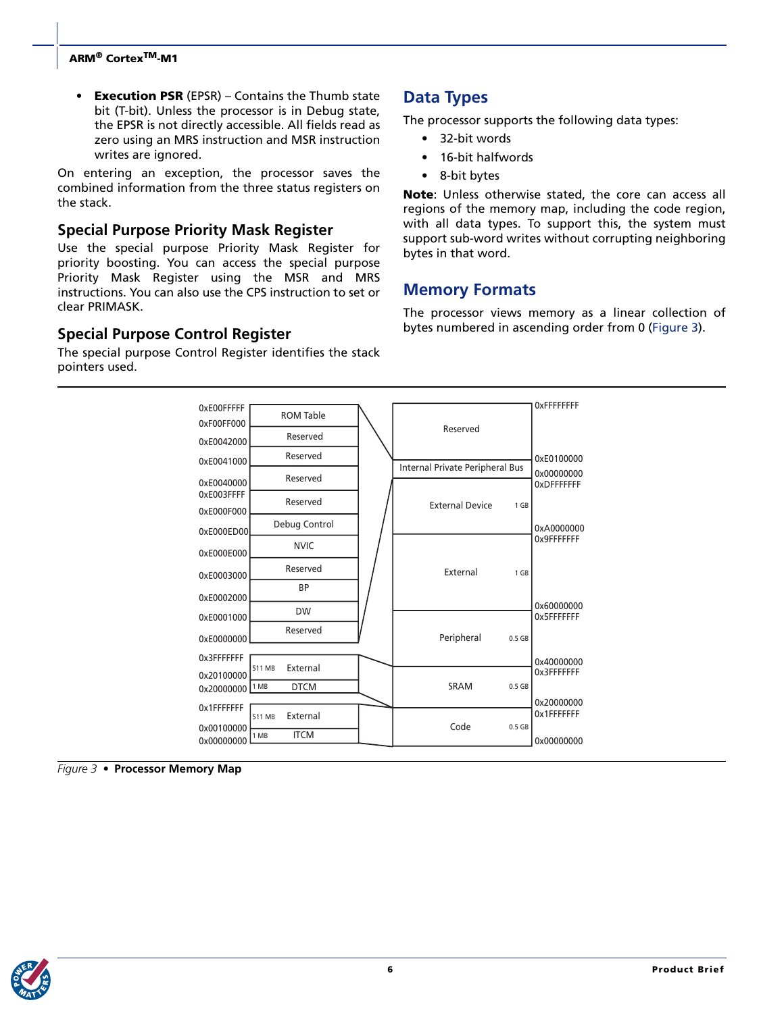#### **ARM® CortexTM-M1**

• **Execution PSR** (EPSR) – Contains the Thumb state bit (T-bit). Unless the processor is in Debug state, the EPSR is not directly accessible. All fields read as zero using an MRS instruction and MSR instruction writes are ignored.

On entering an exception, the processor saves the combined information from the three status registers on the stack.

#### **Special Purpose Priority Mask Register**

Use the special purpose Priority Mask Register for priority boosting. You can access the special purpose Priority Mask Register using the MSR and MRS instructions. You can also use the CPS instruction to set or clear PRIMASK.

#### **Special Purpose Control Register**

The special purpose Control Register identifies the stack pointers used.

### **Data Types**

The processor supports the following data types:

- 32-bit words
- 16-bit halfwords
- 8-bit bytes

**Note**: Unless otherwise stated, the core can access all regions of the memory map, including the code region, with all data types. To support this, the system must support sub-word writes without corrupting neighboring bytes in that word.

### **Memory Formats**

The processor views memory as a linear collection of bytes numbered in ascending order from 0 ([Figure 3](#page-5-0)).



<span id="page-5-0"></span>*Figure 3 •* **Processor Memory Map**

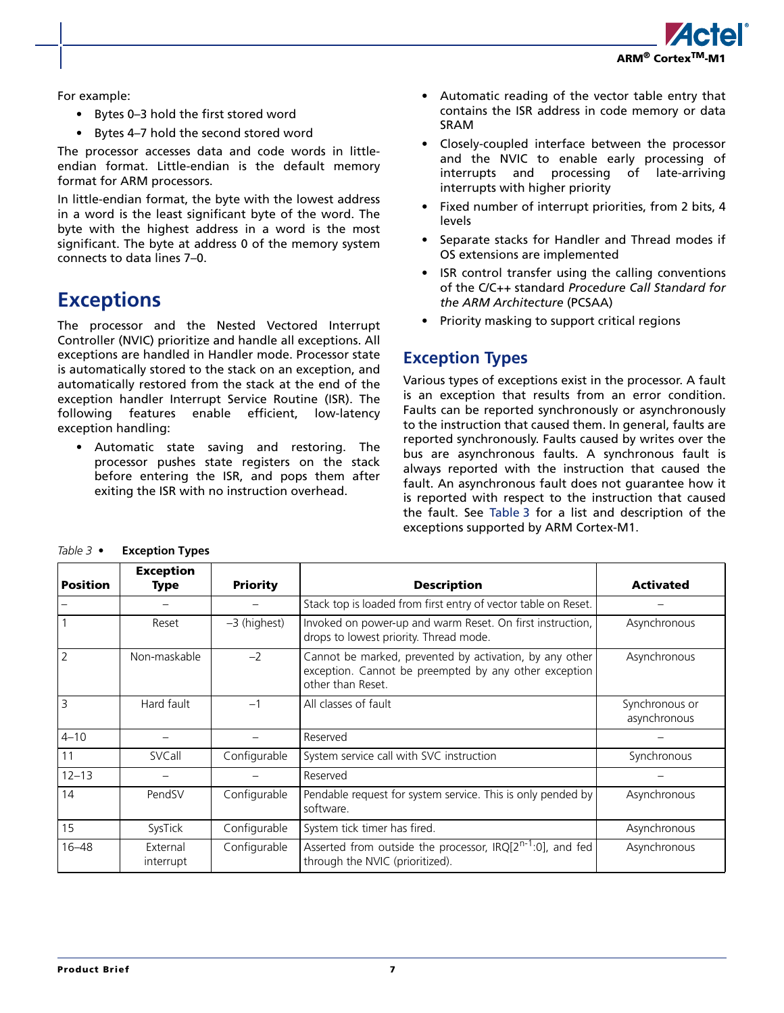

For example:

- Bytes 0–3 hold the first stored word
- Bytes 4–7 hold the second stored word

The processor accesses data and code words in littleendian format. Little-endian is the default memory format for ARM processors.

In little-endian format, the byte with the lowest address in a word is the least significant byte of the word. The byte with the highest address in a word is the most significant. The byte at address 0 of the memory system connects to data lines 7–0.

## **Exceptions**

The processor and the Nested Vectored Interrupt Controller (NVIC) prioritize and handle all exceptions. All exceptions are handled in Handler mode. Processor state is automatically stored to the stack on an exception, and automatically restored from the stack at the end of the exception handler Interrupt Service Routine (ISR). The following features enable efficient, low-latency exception handling:

• Automatic state saving and restoring. The processor pushes state registers on the stack before entering the ISR, and pops them after exiting the ISR with no instruction overhead.

- Automatic reading of the vector table entry that contains the ISR address in code memory or data SRAM
- Closely-coupled interface between the processor and the NVIC to enable early processing of interrupts and processing of late-arriving interrupts with higher priority
- Fixed number of interrupt priorities, from 2 bits, 4 levels
- Separate stacks for Handler and Thread modes if OS extensions are implemented
- ISR control transfer using the calling conventions of the C/C++ standard *Procedure Call Standard for the ARM Architecture* (PCSAA)
- Priority masking to support critical regions

## **Exception Types**

Various types of exceptions exist in the processor. A fault is an exception that results from an error condition. Faults can be reported synchronously or asynchronously to the instruction that caused them. In general, faults are reported synchronously. Faults caused by writes over the bus are asynchronous faults. A synchronous fault is always reported with the instruction that caused the fault. An asynchronous fault does not guarantee how it is reported with respect to the instruction that caused the fault. See [Table 3](#page-6-0) for a list and description of the exceptions supported by ARM Cortex-M1.

<span id="page-6-0"></span>

| Table 3 $\bullet$ | <b>Exception Types</b> |  |
|-------------------|------------------------|--|
|-------------------|------------------------|--|

| Position       | <b>Exception</b><br>Type | <b>Priority</b> | <b>Description</b>                                                                                                                    | <b>Activated</b>               |
|----------------|--------------------------|-----------------|---------------------------------------------------------------------------------------------------------------------------------------|--------------------------------|
|                |                          |                 | Stack top is loaded from first entry of vector table on Reset.                                                                        |                                |
| $\overline{1}$ | Reset                    | $-3$ (highest)  | Invoked on power-up and warm Reset. On first instruction,<br>drops to lowest priority. Thread mode.                                   | Asynchronous                   |
| $\overline{2}$ | Non-maskable             | $-2$            | Cannot be marked, prevented by activation, by any other<br>exception. Cannot be preempted by any other exception<br>other than Reset. | Asynchronous                   |
| $\overline{3}$ | Hard fault               | $-1$            | All classes of fault                                                                                                                  | Synchronous or<br>asynchronous |
| $4 - 10$       |                          |                 | Reserved                                                                                                                              |                                |
| 11             | SVCall                   | Configurable    | System service call with SVC instruction                                                                                              | Synchronous                    |
| $12 - 13$      |                          |                 | Reserved                                                                                                                              |                                |
| 14             | PendSV                   | Configurable    | Pendable request for system service. This is only pended by<br>software.                                                              | Asynchronous                   |
| 15             | SysTick                  | Configurable    | System tick timer has fired.                                                                                                          | Asynchronous                   |
| $16 - 48$      | External<br>interrupt    | Configurable    | Asserted from outside the processor, $IRQ[2^{n-1}:0]$ , and fed<br>through the NVIC (prioritized).                                    | Asynchronous                   |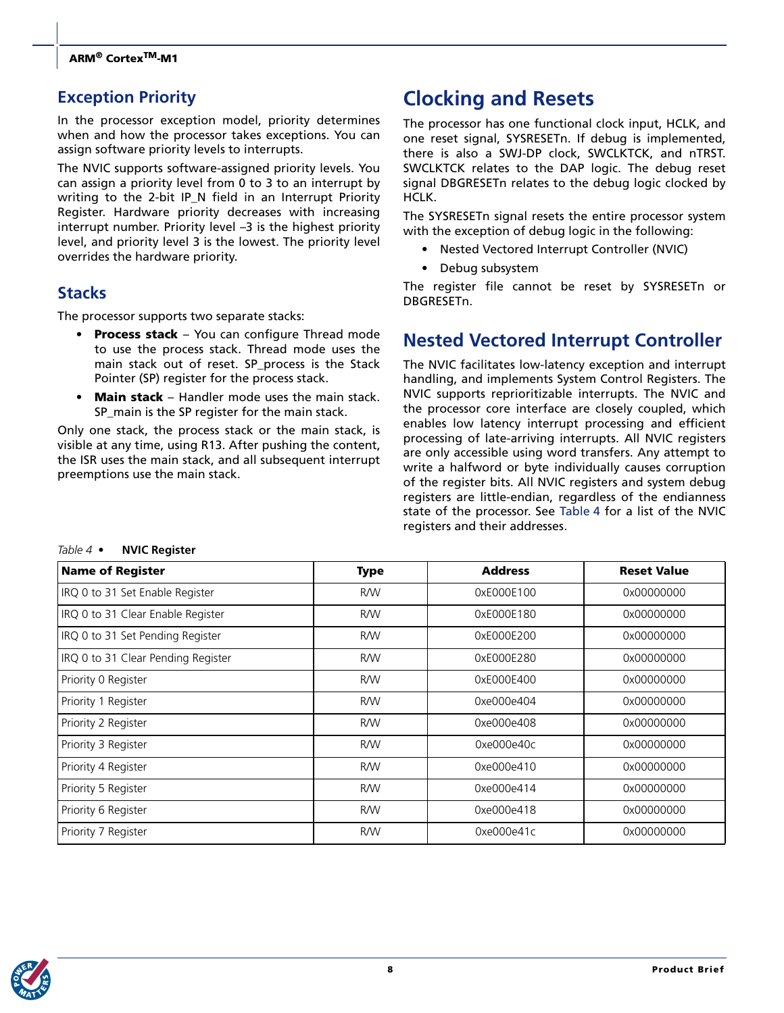## **Exception Priority**

In the processor exception model, priority determines when and how the processor takes exceptions. You can assign software priority levels to interrupts.

The NVIC supports software-assigned priority levels. You can assign a priority level from 0 to 3 to an interrupt by writing to the 2-bit IP\_N field in an Interrupt Priority Register. Hardware priority decreases with increasing interrupt number. Priority level –3 is the highest priority level, and priority level 3 is the lowest. The priority level overrides the hardware priority.

## **Stacks**

The processor supports two separate stacks:

- **Process stack**  You can configure Thread mode to use the process stack. Thread mode uses the main stack out of reset. SP\_process is the Stack Pointer (SP) register for the process stack.
- **Main stack**  Handler mode uses the main stack. SP\_main is the SP register for the main stack.

Only one stack, the process stack or the main stack, is visible at any time, using R13. After pushing the content, the ISR uses the main stack, and all subsequent interrupt preemptions use the main stack.

## **Clocking and Resets**

The processor has one functional clock input, HCLK, and one reset signal, SYSRESETn. If debug is implemented, there is also a SWJ-DP clock, SWCLKTCK, and nTRST. SWCLKTCK relates to the DAP logic. The debug reset signal DBGRESETn relates to the debug logic clocked by HCLK.

The SYSRESETn signal resets the entire processor system with the exception of debug logic in the following:

- Nested Vectored Interrupt Controller (NVIC)
- Debug subsystem

The register file cannot be reset by SYSRESETn or DBGRESETn.

## **Nested Vectored Interrupt Controller**

The NVIC facilitates low-latency exception and interrupt handling, and implements System Control Registers. The NVIC supports reprioritizable interrupts. The NVIC and the processor core interface are closely coupled, which enables low latency interrupt processing and efficient processing of late-arriving interrupts. All NVIC registers are only accessible using word transfers. Any attempt to write a halfword or byte individually causes corruption of the register bits. All NVIC registers and system debug registers are little-endian, regardless of the endianness state of the processor. See [Table 4](#page-7-0) for a list of the NVIC registers and their addresses.

| <b>Name of Register</b>            | <b>Type</b> | <b>Address</b> | <b>Reset Value</b> |
|------------------------------------|-------------|----------------|--------------------|
| IRQ 0 to 31 Set Enable Register    | <b>R/W</b>  | 0xE000E100     | 0x00000000         |
| IRQ 0 to 31 Clear Enable Register  | <b>R/W</b>  | 0xE000E180     | 0x00000000         |
| IRQ 0 to 31 Set Pending Register   | <b>R/W</b>  | 0xE000E200     | 0x00000000         |
| IRQ 0 to 31 Clear Pending Register | <b>R/W</b>  | 0xE000E280     | 0x00000000         |
| Priority 0 Register                | <b>R/W</b>  | 0xE000E400     | 0x00000000         |
| Priority 1 Register                | <b>R/W</b>  | 0xe000e404     | 0x00000000         |
| Priority 2 Register                | <b>R/W</b>  | 0xe000e408     | 0x00000000         |
| Priority 3 Register                | <b>R/W</b>  | 0xe000e40c     | 0x00000000         |
| Priority 4 Register                | <b>R/W</b>  | 0xe000e410     | 0x00000000         |
| Priority 5 Register                | <b>R/W</b>  | 0xe000e414     | 0x00000000         |
| Priority 6 Register                | <b>R/W</b>  | 0xe000e418     | 0x00000000         |
| Priority 7 Register                | <b>R/W</b>  | 0xe000e41c     | 0x00000000         |

<span id="page-7-0"></span>*Table 4 •* **NVIC Register**

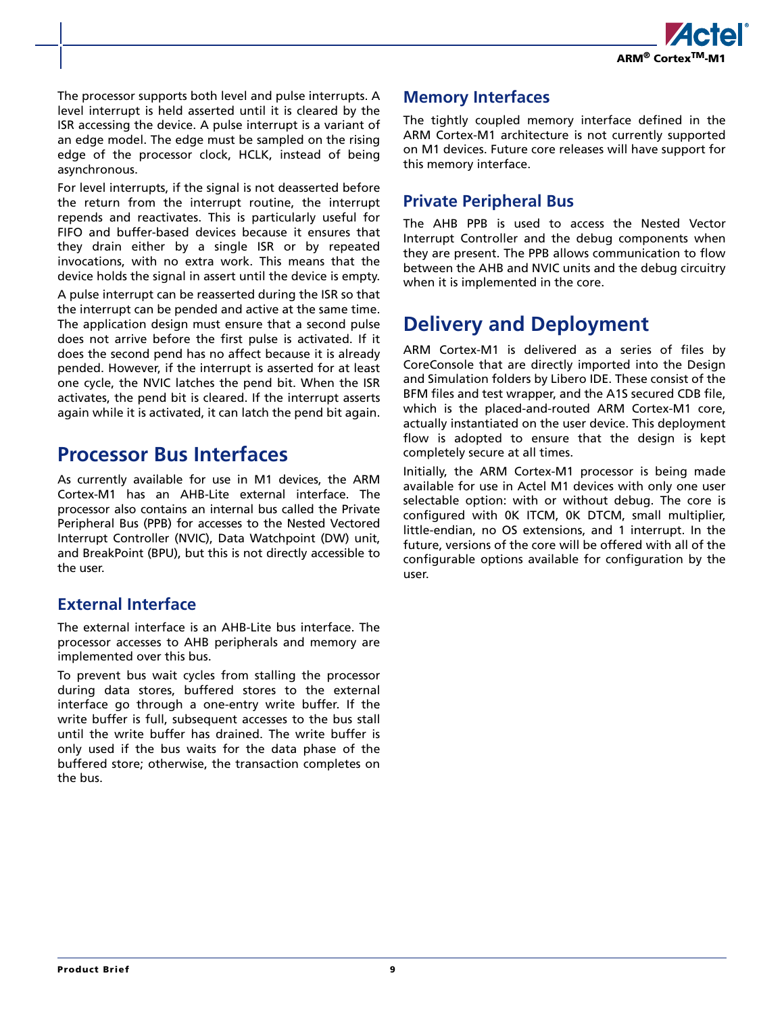

The processor supports both level and pulse interrupts. A level interrupt is held asserted until it is cleared by the ISR accessing the device. A pulse interrupt is a variant of an edge model. The edge must be sampled on the rising edge of the processor clock, HCLK, instead of being asynchronous.

For level interrupts, if the signal is not deasserted before the return from the interrupt routine, the interrupt repends and reactivates. This is particularly useful for FIFO and buffer-based devices because it ensures that they drain either by a single ISR or by repeated invocations, with no extra work. This means that the device holds the signal in assert until the device is empty.

A pulse interrupt can be reasserted during the ISR so that the interrupt can be pended and active at the same time. The application design must ensure that a second pulse does not arrive before the first pulse is activated. If it does the second pend has no affect because it is already pended. However, if the interrupt is asserted for at least one cycle, the NVIC latches the pend bit. When the ISR activates, the pend bit is cleared. If the interrupt asserts again while it is activated, it can latch the pend bit again.

## **Processor Bus Interfaces**

As currently available for use in M1 devices, the ARM Cortex-M1 has an AHB-Lite external interface. The processor also contains an internal bus called the Private Peripheral Bus (PPB) for accesses to the Nested Vectored Interrupt Controller (NVIC), Data Watchpoint (DW) unit, and BreakPoint (BPU), but this is not directly accessible to the user.

### **External Interface**

The external interface is an AHB-Lite bus interface. The processor accesses to AHB peripherals and memory are implemented over this bus.

To prevent bus wait cycles from stalling the processor during data stores, buffered stores to the external interface go through a one-entry write buffer. If the write buffer is full, subsequent accesses to the bus stall until the write buffer has drained. The write buffer is only used if the bus waits for the data phase of the buffered store; otherwise, the transaction completes on the bus.

### **Memory Interfaces**

The tightly coupled memory interface defined in the ARM Cortex-M1 architecture is not currently supported on M1 devices. Future core releases will have support for this memory interface.

### **Private Peripheral Bus**

The AHB PPB is used to access the Nested Vector Interrupt Controller and the debug components when they are present. The PPB allows communication to flow between the AHB and NVIC units and the debug circuitry when it is implemented in the core.

## **Delivery and Deployment**

ARM Cortex-M1 is delivered as a series of files by CoreConsole that are directly imported into the Design and Simulation folders by Libero IDE. These consist of the BFM files and test wrapper, and the A1S secured CDB file, which is the placed-and-routed ARM Cortex-M1 core, actually instantiated on the user device. This deployment flow is adopted to ensure that the design is kept completely secure at all times.

Initially, the ARM Cortex-M1 processor is being made available for use in Actel M1 devices with only one user selectable option: with or without debug. The core is configured with 0K ITCM, 0K DTCM, small multiplier, little-endian, no OS extensions, and 1 interrupt. In the future, versions of the core will be offered with all of the configurable options available for configuration by the user.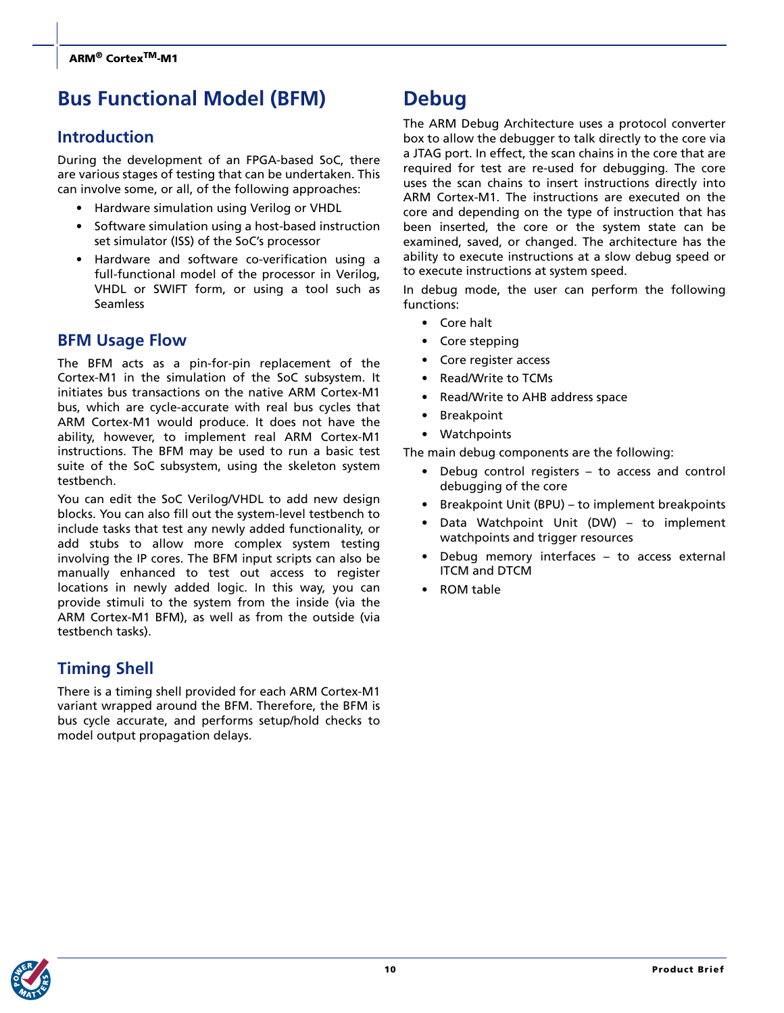## **Bus Functional Model (BFM)**

## **Introduction**

During the development of an FPGA-based SoC, there are various stages of testing that can be undertaken. This can involve some, or all, of the following approaches:

- Hardware simulation using Verilog or VHDL
- Software simulation using a host-based instruction set simulator (ISS) of the SoC's processor
- Hardware and software co-verification using a full-functional model of the processor in Verilog, VHDL or SWIFT form, or using a tool such as Seamless

## **BFM Usage Flow**

The BFM acts as a pin-for-pin replacement of the Cortex-M1 in the simulation of the SoC subsystem. It initiates bus transactions on the native ARM Cortex-M1 bus, which are cycle-accurate with real bus cycles that ARM Cortex-M1 would produce. It does not have the ability, however, to implement real ARM Cortex-M1 instructions. The BFM may be used to run a basic test suite of the SoC subsystem, using the skeleton system testbench.

You can edit the SoC Verilog/VHDL to add new design blocks. You can also fill out the system-level testbench to include tasks that test any newly added functionality, or add stubs to allow more complex system testing involving the IP cores. The BFM input scripts can also be manually enhanced to test out access to register locations in newly added logic. In this way, you can provide stimuli to the system from the inside (via the ARM Cortex-M1 BFM), as well as from the outside (via testbench tasks).

## **Timing Shell**

There is a timing shell provided for each ARM Cortex-M1 variant wrapped around the BFM. Therefore, the BFM is bus cycle accurate, and performs setup/hold checks to model output propagation delays.

## **Debug**

The ARM Debug Architecture uses a protocol converter box to allow the debugger to talk directly to the core via a JTAG port. In effect, the scan chains in the core that are required for test are re-used for debugging. The core uses the scan chains to insert instructions directly into ARM Cortex-M1. The instructions are executed on the core and depending on the type of instruction that has been inserted, the core or the system state can be examined, saved, or changed. The architecture has the ability to execute instructions at a slow debug speed or to execute instructions at system speed.

In debug mode, the user can perform the following functions:

- Core halt
- Core stepping
- Core register access
- Read/Write to TCMs
- Read/Write to AHB address space
- **Breakpoint**
- Watchpoints

The main debug components are the following:

- Debug control registers  $-$  to access and control debugging of the core
- Breakpoint Unit (BPU) to implement breakpoints
- Data Watchpoint Unit (DW) to implement watchpoints and trigger resources
- Debug memory interfaces to access external ITCM and DTCM
- ROM table

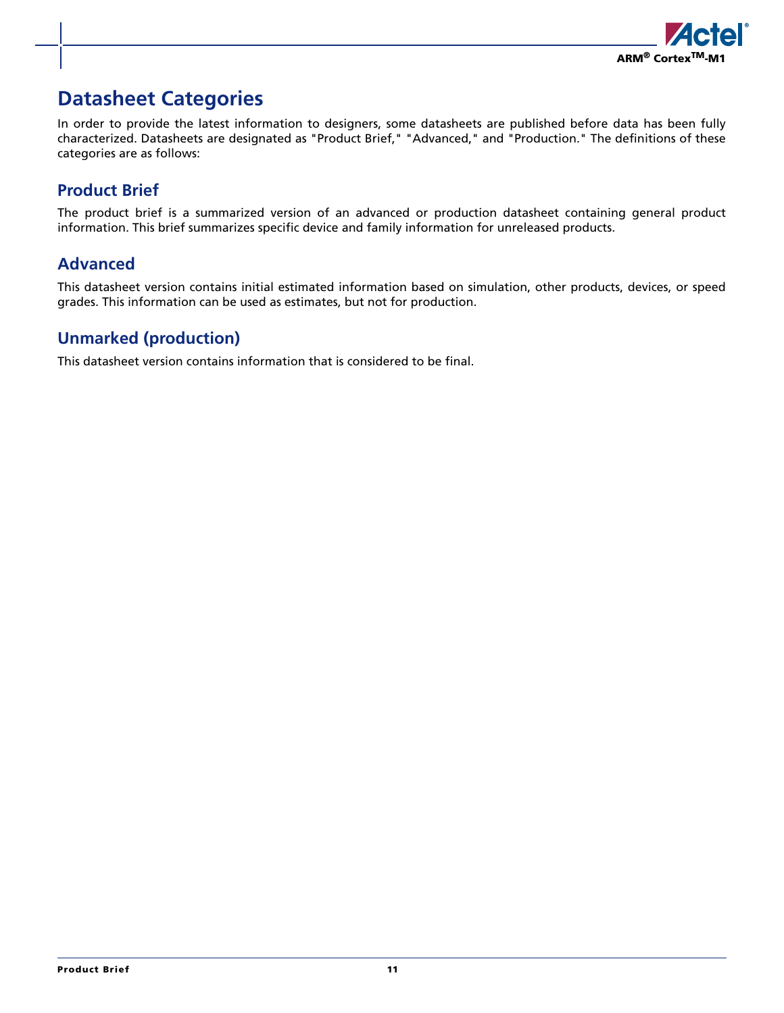

## **Datasheet Categories**

In order to provide the latest information to designers, some datasheets are published before data has been fully characterized. Datasheets are designated as "Product Brief," "Advanced," and "Production." The definitions of these categories are as follows:

## **Product Brief**

The product brief is a summarized version of an advanced or production datasheet containing general product information. This brief summarizes specific device and family information for unreleased products.

## **Advanced**

This datasheet version contains initial estimated information based on simulation, other products, devices, or speed grades. This information can be used as estimates, but not for production.

## **Unmarked (production)**

This datasheet version contains information that is considered to be final.